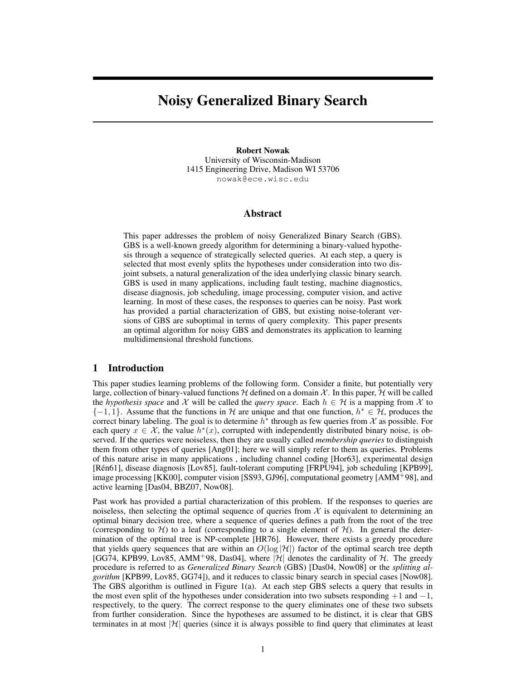# Noisy Generalized Binary Search

Robert Nowak University of Wisconsin-Madison 1415 Engineering Drive, Madison WI 53706 nowak@ece.wisc.edu

## Abstract

This paper addresses the problem of noisy Generalized Binary Search (GBS). GBS is a well-known greedy algorithm for determining a binary-valued hypothesis through a sequence of strategically selected queries. At each step, a query is selected that most evenly splits the hypotheses under consideration into two disjoint subsets, a natural generalization of the idea underlying classic binary search. GBS is used in many applications, including fault testing, machine diagnostics, disease diagnosis, job scheduling, image processing, computer vision, and active learning. In most of these cases, the responses to queries can be noisy. Past work has provided a partial characterization of GBS, but existing noise-tolerant versions of GBS are suboptimal in terms of query complexity. This paper presents an optimal algorithm for noisy GBS and demonstrates its application to learning multidimensional threshold functions.

## 1 Introduction

This paper studies learning problems of the following form. Consider a finite, but potentially very large, collection of binary-valued functions  $H$  defined on a domain X. In this paper, H will be called the *hypothesis space* and X will be called the *query space*. Each  $h \in H$  is a mapping from X to  ${-1, 1}$ . Assume that the functions in H are unique and that one function,  $h^* \in H$ , produces the correct binary labeling. The goal is to determine  $h^*$  through as few queries from X as possible. For each query  $x \in \mathcal{X}$ , the value  $h^*(x)$ , corrupted with independently distributed binary noise, is observed. If the queries were noiseless, then they are usually called *membership queries* to distinguish them from other types of queries [Ang01]; here we will simply refer to them as queries. Problems of this nature arise in many applications , including channel coding [Hor63], experimental design [Ren61], disease diagnosis [Lov85], fault-tolerant computing [FRPU94], job scheduling [KPB99], ´ image processing [KK00], computer vision [SS93, GJ96], computational geometry [AMM<sup>+</sup>98], and active learning [Das04, BBZ07, Now08].

Past work has provided a partial characterization of this problem. If the responses to queries are noiseless, then selecting the optimal sequence of queries from  $X$  is equivalent to determining an optimal binary decision tree, where a sequence of queries defines a path from the root of the tree (corresponding to H) to a leaf (corresponding to a single element of  $H$ ). In general the determination of the optimal tree is NP-complete [HR76]. However, there exists a greedy procedure that yields query sequences that are within an  $O(\log |\mathcal{H}|)$  factor of the optimal search tree depth [GG74, KPB99, Lov85, AMM+98, Das04], where  $|\mathcal{H}|$  denotes the cardinality of  $\mathcal{H}$ . The greedy procedure is referred to as *Generalized Binary Search* (GBS) [Das04, Now08] or the *splitting algorithm* [KPB99, Lov85, GG74]), and it reduces to classic binary search in special cases [Now08]. The GBS algorithm is outlined in Figure 1(a). At each step GBS selects a query that results in the most even split of the hypotheses under consideration into two subsets responding  $+1$  and  $-1$ , respectively, to the query. The correct response to the query eliminates one of these two subsets from further consideration. Since the hypotheses are assumed to be distinct, it is clear that GBS terminates in at most  $|\mathcal{H}|$  queries (since it is always possible to find query that eliminates at least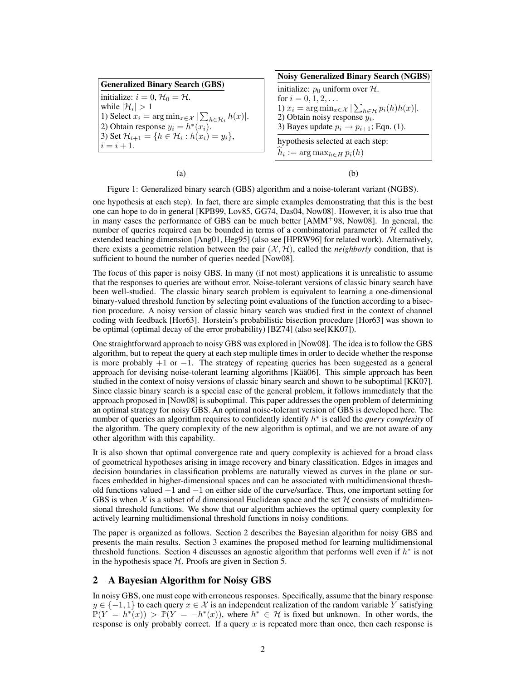| <b>Generalized Binary Search (GBS)</b>                                                                                                                                   |
|--------------------------------------------------------------------------------------------------------------------------------------------------------------------------|
| initialize: $i = 0, \mathcal{H}_0 = \mathcal{H}$ .<br>while $ \mathcal{H}_i  > 1$<br>1) Select $x_i = \arg \min_{x \in \mathcal{X}}  \sum_{h \in \mathcal{H}_i} h(x) $ . |
| (2) Obtain response $y_i = h^*(x_i)$ .<br>3) Set $\mathcal{H}_{i+1} = \{h \in \mathcal{H}_i : h(x_i) = y_i\},\$<br>$i = i + 1.$                                          |

| <b>Noisy Generalized Binary Search (NGBS)</b>                                     |
|-----------------------------------------------------------------------------------|
| initialize: $p_0$ uniform over H.                                                 |
| for $i = 0, 1, 2, $                                                               |
| 1) $x_i = \arg \min_{x \in \mathcal{X}}  \sum_{h \in \mathcal{H}} p_i(h) h(x) $ . |
| 2) Obtain noisy response $y_i$ .                                                  |
| 3) Bayes update $p_i \rightarrow p_{i+1}$ ; Eqn. (1).                             |
| hypothesis selected at each step:                                                 |
| $h_i := \arg \max_{h \in H} p_i(h)$                                               |

 $(a)$  (b)

Figure 1: Generalized binary search (GBS) algorithm and a noise-tolerant variant (NGBS).

one hypothesis at each step). In fact, there are simple examples demonstrating that this is the best one can hope to do in general [KPB99, Lov85, GG74, Das04, Now08]. However, it is also true that in many cases the performance of GBS can be much better [AMM+98, Now08]. In general, the number of queries required can be bounded in terms of a combinatorial parameter of  $H$  called the extended teaching dimension [Ang01, Heg95] (also see [HPRW96] for related work). Alternatively, there exists a geometric relation between the pair  $(X, \mathcal{H})$ , called the *neighborly* condition, that is sufficient to bound the number of queries needed [Now08].

The focus of this paper is noisy GBS. In many (if not most) applications it is unrealistic to assume that the responses to queries are without error. Noise-tolerant versions of classic binary search have been well-studied. The classic binary search problem is equivalent to learning a one-dimensional binary-valued threshold function by selecting point evaluations of the function according to a bisection procedure. A noisy version of classic binary search was studied first in the context of channel coding with feedback [Hor63]. Horstein's probabilistic bisection procedure [Hor63] was shown to be optimal (optimal decay of the error probability) [BZ74] (also see[KK07]).

One straightforward approach to noisy GBS was explored in [Now08]. The idea is to follow the GBS algorithm, but to repeat the query at each step multiple times in order to decide whether the response is more probably  $+1$  or  $-1$ . The strategy of repeating queries has been suggested as a general approach for devising noise-tolerant learning algorithms [Kää06]. This simple approach has been studied in the context of noisy versions of classic binary search and shown to be suboptimal [KK07]. Since classic binary search is a special case of the general problem, it follows immediately that the approach proposed in [Now08] is suboptimal. This paper addresses the open problem of determining an optimal strategy for noisy GBS. An optimal noise-tolerant version of GBS is developed here. The number of queries an algorithm requires to confidently identify h ∗ is called the *query complexity* of the algorithm. The query complexity of the new algorithm is optimal, and we are not aware of any other algorithm with this capability.

It is also shown that optimal convergence rate and query complexity is achieved for a broad class of geometrical hypotheses arising in image recovery and binary classification. Edges in images and decision boundaries in classification problems are naturally viewed as curves in the plane or surfaces embedded in higher-dimensional spaces and can be associated with multidimensional threshold functions valued +1 and −1 on either side of the curve/surface. Thus, one important setting for GBS is when X is a subset of d dimensional Euclidean space and the set  $H$  consists of multidimensional threshold functions. We show that our algorithm achieves the optimal query complexity for actively learning multidimensional threshold functions in noisy conditions.

The paper is organized as follows. Section 2 describes the Bayesian algorithm for noisy GBS and presents the main results. Section 3 examines the proposed method for learning multidimensional threshold functions. Section 4 discusses an agnostic algorithm that performs well even if  $h^*$  is not in the hypothesis space  $H$ . Proofs are given in Section 5.

# 2 A Bayesian Algorithm for Noisy GBS

In noisy GBS, one must cope with erroneous responses. Specifically, assume that the binary response  $y \in \{-1, 1\}$  to each query  $x \in \mathcal{X}$  is an independent realization of the random variable Y satisfying  $\mathbb{P}(Y = h^*(x)) > \mathbb{P}(Y = -h^*(x))$ , where  $h^* \in \mathcal{H}$  is fixed but unknown. In other words, the response is only probably correct. If a query  $x$  is repeated more than once, then each response is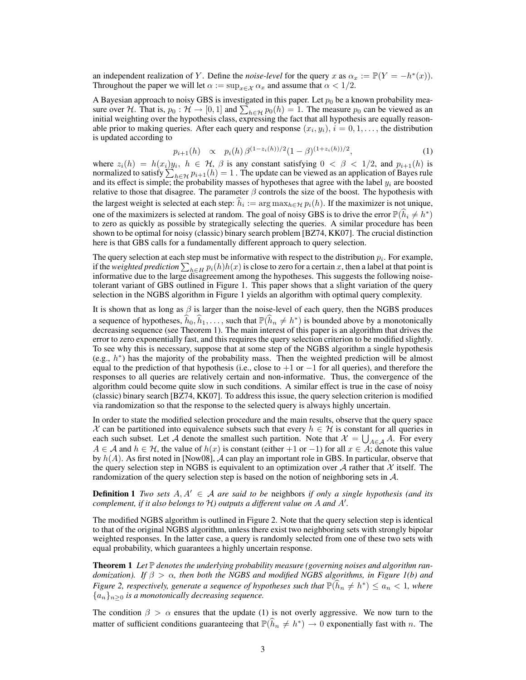an independent realization of Y. Define the *noise-level* for the query x as  $\alpha_x := \mathbb{P}(Y = -h^*(x))$ . Throughout the paper we will let  $\alpha := \sup_{x \in \mathcal{X}} \alpha_x$  and assume that  $\alpha < 1/2$ .

A Bayesian approach to noisy GBS is investigated in this paper. Let  $p_0$  be a known probability measure over H. That is,  $p_0: \mathcal{H} \to [0,1]$  and  $\sum_{h \in \mathcal{H}} p_0(h) = 1$ . The measure  $p_0$  can be viewed as an initial weighting over the hypothesis class, expressing the fact that all hypothesis are equally reasonable prior to making queries. After each query and response  $(x_i, y_i)$ ,  $i = 0, 1, \ldots$ , the distribution is updated according to

$$
p_{i+1}(h) \propto p_i(h) \beta^{(1-z_i(h))/2} (1-\beta)^{(1+z_i(h))/2}, \tag{1}
$$

where  $z_i(h) = h(x_i)y_i$ ,  $h \in H$ ,  $\beta$  is any constant satisfying  $0 < \beta < 1/2$ , and  $p_{i+1}(h)$  is normalized to satisfy  $\sum_{h \in \mathcal{H}} p_{i+1}(h) = 1$ . The update can be viewed as an application of Bayes rule and its effect is simple; the probability masses of hypotheses that agree with the label  $y_i$  are boosted relative to those that disagree. The parameter  $\beta$  controls the size of the boost. The hypothesis with the largest weight is selected at each step:  $h_i := \arg \max_{h \in \mathcal{H}} p_i(h)$ . If the maximizer is not unique, one of the maximizers is selected at random. The goal of noisy GBS is to drive the error  $\mathbb{P}(\hat{h}_i \neq h^*)$ to zero as quickly as possible by strategically selecting the queries. A similar procedure has been shown to be optimal for noisy (classic) binary search problem [BZ74, KK07]. The crucial distinction here is that GBS calls for a fundamentally different approach to query selection.

The query selection at each step must be informative with respect to the distribution  $p_i$ . For example, if the *weighted prediction*  $\sum_{h\in H} p_i(h)h(x)$  is close to zero for a certain x, then a label at that point is informative due to the large disagreement among the hypotheses. This suggests the following noisetolerant variant of GBS outlined in Figure 1. This paper shows that a slight variation of the query selection in the NGBS algorithm in Figure 1 yields an algorithm with optimal query complexity.

It is shown that as long as  $\beta$  is larger than the noise-level of each query, then the NGBS produces a sequence of hypotheses,  $\hat{h}_0, \hat{h}_1, \dots$ , such that  $\mathbb{P}(\hat{h}_n \neq h^*)$  is bounded above by a monotonically decreasing sequence (see Theorem 1). The main interest of this paper is an algorithm that drives the error to zero exponentially fast, and this requires the query selection criterion to be modified slightly. To see why this is necessary, suppose that at some step of the NGBS algorithm a single hypothesis (e.g.,  $h^*$ ) has the majority of the probability mass. Then the weighted prediction will be almost equal to the prediction of that hypothesis (i.e., close to  $+1$  or  $-1$  for all queries), and therefore the responses to all queries are relatively certain and non-informative. Thus, the convergence of the algorithm could become quite slow in such conditions. A similar effect is true in the case of noisy (classic) binary search [BZ74, KK07]. To address this issue, the query selection criterion is modified via randomization so that the response to the selected query is always highly uncertain.

In order to state the modified selection procedure and the main results, observe that the query space X can be partitioned into equivalence subsets such that every  $h \in \mathcal{H}$  is constant for all queries in each such subset. Let A denote the smallest such partition. Note that  $\mathcal{X} = \bigcup_{A \in \mathcal{A}} A$ . For every  $A \in \mathcal{A}$  and  $h \in \mathcal{H}$ , the value of  $h(x)$  is constant (either +1 or -1) for all  $x \in A$ ; denote this value by  $h(A)$ . As first noted in [Now08], A can play an important role in GBS. In particular, observe that the query selection step in NGBS is equivalent to an optimization over A rather that  $\mathcal X$  itself. The randomization of the query selection step is based on the notion of neighboring sets in A.

**Definition 1** *Two sets*  $A, A' \in \mathcal{A}$  *are said to be* neighbors *if only a single hypothesis (and its complement, if it also belongs to* H) outputs a different value on A and A'.

The modified NGBS algorithm is outlined in Figure 2. Note that the query selection step is identical to that of the original NGBS algorithm, unless there exist two neighboring sets with strongly bipolar weighted responses. In the latter case, a query is randomly selected from one of these two sets with equal probability, which guarantees a highly uncertain response.

Theorem 1 Let P denotes the underlying probability measure (governing noises and algorithm ran*domization).* If  $\beta > \alpha$ , then both the NGBS and modified NGBS algorithms, in Figure 1(b) and *Figure 2, respectively, generate a sequence of hypotheses such that*  $\mathbb{P}(\widehat{h}_n \neq h^*) \leq a_n < 1$ , where  ${a_n}_{n>0}$  *is a monotonically decreasing sequence.* 

The condition  $\beta > \alpha$  ensures that the update (1) is not overly aggressive. We now turn to the matter of sufficient conditions guaranteeing that  $\mathbb{P}(\hat{h}_n \neq h^*) \to 0$  exponentially fast with n. The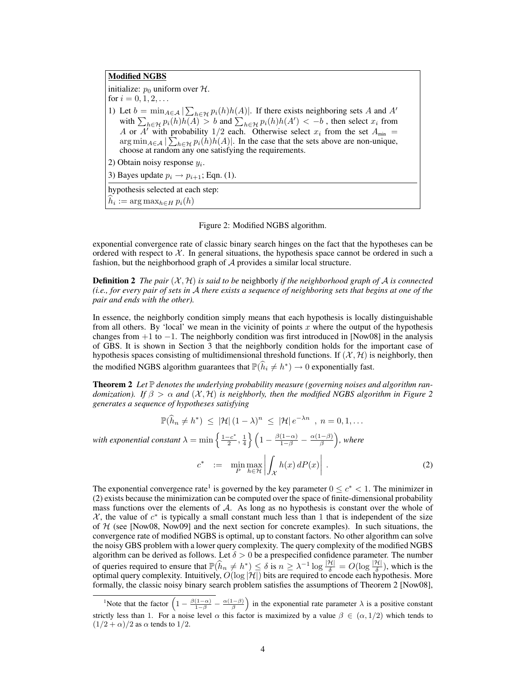Modified NGBS initialize:  $p_0$  uniform over  $H$ . for  $i = 0, 1, 2, \ldots$ 1) Let  $b = \min_{A \in \mathcal{A}} |\sum_{h \in \mathcal{H}} p_i(h) h(A)|$ . If there exists neighboring sets A and A' with  $\sum_{h \in \mathcal{H}} p_i(h)h(A) > b$  and  $\sum_{h \in \mathcal{H}} p_i(h)h(A') < -b$ , then select  $x_i$  from A or A' with probability 1/2 each. Otherwise select  $x_i$  from the set  $A_{\min}$  =  $\arg \min_{A \in \mathcal{A}} |\sum_{h \in \mathcal{H}} p_i(h) h(A)|$ . In the case that the sets above are non-unique, choose at random any one satisfying the requirements. 2) Obtain noisy response  $y_i$ . 3) Bayes update  $p_i \rightarrow p_{i+1}$ ; Eqn. (1). hypothesis selected at each step:  $h_i := \arg \max_{h \in H} p_i(h)$ 

Figure 2: Modified NGBS algorithm.

exponential convergence rate of classic binary search hinges on the fact that the hypotheses can be ordered with respect to  $X$ . In general situations, the hypothesis space cannot be ordered in such a fashion, but the neighborhood graph of A provides a similar local structure.

**Definition 2** The pair  $(X, \mathcal{H})$  is said to be neighborly if the neighborhood graph of A is connected *(i.e., for every pair of sets in* A *there exists a sequence of neighboring sets that begins at one of the pair and ends with the other).*

In essence, the neighborly condition simply means that each hypothesis is locally distinguishable from all others. By 'local' we mean in the vicinity of points  $x$  where the output of the hypothesis changes from  $+1$  to  $-1$ . The neighborly condition was first introduced in [Now08] in the analysis of GBS. It is shown in Section 3 that the neighborly condition holds for the important case of hypothesis spaces consisting of multidimensional threshold functions. If  $(\mathcal{X}, \mathcal{H})$  is neighborly, then the modified NGBS algorithm guarantees that  $\mathbb{P}(\widehat{h}_i \neq h^*) \to 0$  exponentially fast.

**Theorem 2** Let P denotes the underlying probability measure (governing noises and algorithm ran*domization). If*  $\beta > \alpha$  *and*  $(\mathcal{X}, \mathcal{H})$  *is neighborly, then the modified NGBS algorithm in Figure 2 generates a sequence of hypotheses satisfying*

$$
\mathbb{P}(\widehat{h}_n \neq h^*) \leq |\mathcal{H}| (1 - \lambda)^n \leq |\mathcal{H}| e^{-\lambda n}, n = 0, 1, \dots
$$

*with exponential constant*  $\lambda = \min \left\{ \frac{1 - c^*}{2} \right\}$  $\left\{ \frac{(-c^*)}{2}, \frac{1}{4} \right\} \left( 1 - \frac{\beta(1-\alpha)}{1-\beta} - \frac{\alpha(1-\beta)}{\beta} \right)$  $\frac{(-\beta)}{\beta}$ ), where

$$
c^* := \min_{P} \max_{h \in \mathcal{H}} \left| \int_{\mathcal{X}} h(x) \, dP(x) \right| \, . \tag{2}
$$

The exponential convergence rate<sup>1</sup> is governed by the key parameter  $0 \leq c^* < 1$ . The minimizer in (2) exists because the minimization can be computed over the space of finite-dimensional probability mass functions over the elements of A. As long as no hypothesis is constant over the whole of  $X$ , the value of  $c^*$  is typically a small constant much less than 1 that is independent of the size of  $H$  (see [Now08, Now09] and the next section for concrete examples). In such situations, the convergence rate of modified NGBS is optimal, up to constant factors. No other algorithm can solve the noisy GBS problem with a lower query complexity. The query complexity of the modified NGBS algorithm can be derived as follows. Let  $\delta > 0$  be a prespecified confidence parameter. The number of queries required to ensure that  $\mathbb{P}(\widehat{h}_n \neq h^*) \leq \delta$  is  $n \geq \lambda^{-1} \log \frac{|\mathcal{H}|}{\delta} = O(\log \frac{|\mathcal{H}|}{\delta})$ , which is the optimal query complexity. Intuitively,  $O(\log |\mathcal{H}|)$  bits are required to encode each hypothesis. More formally, the classic noisy binary search problem satisfies the assumptions of Theorem 2 [Now08],

<sup>&</sup>lt;sup>1</sup>Note that the factor  $\left(1 - \frac{\beta(1-\alpha)}{1-\beta} - \frac{\alpha(1-\beta)}{\beta}\right)$  in the exponential rate parameter  $\lambda$  is a positive constant strictly less than 1. For a noise level  $\alpha$  this factor is maximized by a value  $\beta \in (\alpha, 1/2)$  which tends to  $(1/2 + \alpha)/2$  as  $\alpha$  tends to 1/2.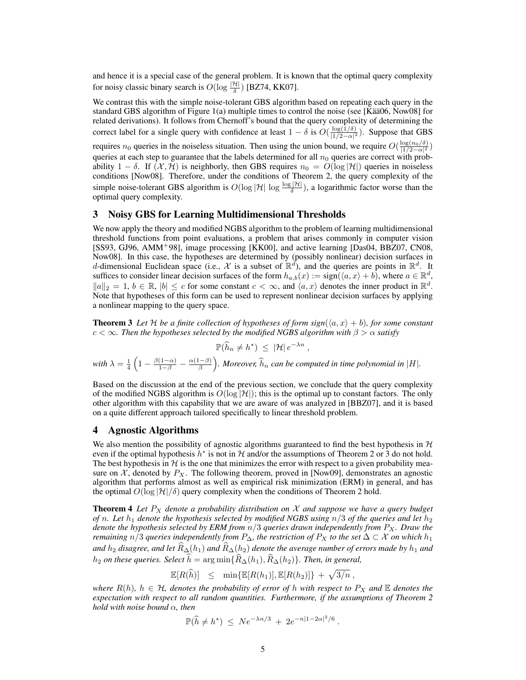and hence it is a special case of the general problem. It is known that the optimal query complexity for noisy classic binary search is  $O(\log \frac{|\mathcal{H}|}{\delta})$  [BZ74, KK07].

We contrast this with the simple noise-tolerant GBS algorithm based on repeating each query in the standard GBS algorithm of Figure 1(a) multiple times to control the noise (see [Kää06, Now08] for related derivations). It follows from Chernoff's bound that the query complexity of determining the correct label for a single query with confidence at least  $1 - \delta$  is  $O(\frac{\log(1/\delta)}{11/2 - \alpha^2})$  $\frac{\log(1/\delta)}{|1/2-\alpha|^2}$ ). Suppose that GBS

requires  $n_0$  queries in the noiseless situation. Then using the union bound, we require  $O(\frac{\log(n_0/\delta)}{|1/2-\alpha|^2})$ queries at each step to guarantee that the labels determined for all  $n_0$  queries are correct with probability 1 – δ. If  $(X, \mathcal{H})$  is neighborly, then GBS requires  $n_0 = O(\log |\mathcal{H}|)$  queries in noiseless conditions [Now08]. Therefore, under the conditions of Theorem 2, the query complexity of the simple noise-tolerant GBS algorithm is  $O(\log |\mathcal{H}| \log \frac{\log |\mathcal{H}|}{\delta})$ , a logarithmic factor worse than the optimal query complexity.

## 3 Noisy GBS for Learning Multidimensional Thresholds

We now apply the theory and modified NGBS algorithm to the problem of learning multidimensional threshold functions from point evaluations, a problem that arises commonly in computer vision [SS93, GJ96, AMM<sup>+</sup>98], image processing [KK00], and active learning [Das04, BBZ07, CN08, Now08]. In this case, the hypotheses are determined by (possibly nonlinear) decision surfaces in d-dimensional Euclidean space (i.e., X is a subset of  $\mathbb{R}^d$ ), and the queries are points in  $\mathbb{R}^d$ . It suffices to consider linear decision surfaces of the form  $h_{a,b}(x) := \text{sign}(\langle a, x \rangle + b)$ , where  $a \in \mathbb{R}^d$ ,  $||a||_2 = 1, b \in \mathbb{R}, |b| \le c$  for some constant  $c < \infty$ , and  $\langle a, x \rangle$  denotes the inner product in  $\mathbb{R}^d$ . Note that hypotheses of this form can be used to represent nonlinear decision surfaces by applying a nonlinear mapping to the query space.

**Theorem 3** Let H be a finite collection of hypotheses of form sign( $\langle a, x \rangle + b$ ), for some constant  $c < \infty$ *. Then the hypotheses selected by the modified NGBS algorithm with*  $\beta > \alpha$  *satisfy* 

$$
\mathbb{P}(\widehat{h}_n \neq h^*) \leq |\mathcal{H}| e^{-\lambda n},
$$
  
with  $\lambda = \frac{1}{4} \left( 1 - \frac{\beta(1-\alpha)}{1-\beta} - \frac{\alpha(1-\beta)}{\beta} \right)$ . Moreover,  $\widehat{h}_n$  can be computed in time polynomial in |H|.

Based on the discussion at the end of the previous section, we conclude that the query complexity of the modified NGBS algorithm is  $O(\log |\mathcal{H}|)$ ; this is the optimal up to constant factors. The only other algorithm with this capability that we are aware of was analyzed in [BBZ07], and it is based on a quite different approach tailored specifically to linear threshold problem.

#### 4 Agnostic Algorithms

We also mention the possibility of agnostic algorithms guaranteed to find the best hypothesis in  $H$ even if the optimal hypothesis  $h^*$  is not in H and/or the assumptions of Theorem 2 or 3 do not hold. The best hypothesis in  $H$  is the one that minimizes the error with respect to a given probability measure on X, denoted by  $P_X$ . The following theorem, proved in [Now09], demonstrates an agnostic algorithm that performs almost as well as empirical risk minimization (ERM) in general, and has the optimal  $O(\log |\mathcal{H}|/\delta)$  query complexity when the conditions of Theorem 2 hold.

**Theorem 4** Let  $P_X$  denote a probability distribution on  $X$  and suppose we have a query budget *of* n. Let  $h_1$  denote the hypothesis selected by modified NGBS using  $n/3$  of the queries and let  $h_2$ *denote the hypothesis selected by ERM from* n/3 *queries drawn independently from* PX*. Draw the remaining*  $n/3$  *queries independently from*  $P_{\Delta}$ *, the restriction of*  $P_X$  *to the set*  $\Delta \subset \mathcal{X}$  *on which*  $h_1$ and  $h_2$  *disagree, and let*  $\widehat{R}_{\Delta}(h_1)$  *and*  $\widehat{R}_{\Delta}(h_2)$  *denote the average number of errors made by*  $h_1$  *and*  $h_2$  *on these queries. Select*  $\widehat{h} = \arg \min \{ \widehat{R}_{\Delta}(h_1), \widehat{R}_{\Delta}(h_2) \}$ *. Then, in general,* 

 $\mathbb{E}[R(\widehat{h})] \leq \min\{\mathbb{E}[R(h_1)], \mathbb{E}[R(h_2)]\} + \sqrt{3/n},$ 

*where*  $R(h)$ ,  $h \in H$ , denotes the probability of error of h with respect to  $P_X$  and  $E$  denotes the *expectation with respect to all random quantities. Furthermore, if the assumptions of Theorem 2 hold with noise bound* α*, then*

$$
\mathbb{P}(\hat{h} \neq h^*) \leq Ne^{-\lambda n/3} + 2e^{-n|1-2\alpha|^2/6}.
$$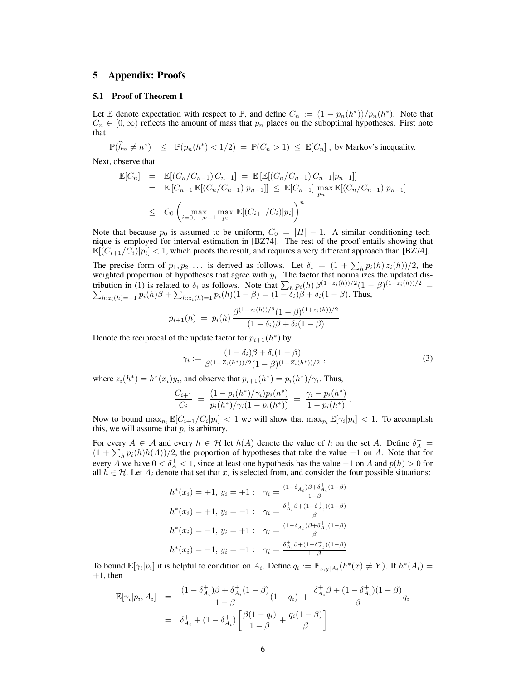## 5 Appendix: Proofs

#### 5.1 Proof of Theorem 1

Let E denote expectation with respect to  $\mathbb{P}$ , and define  $C_n := (1 - p_n(h^*))/p_n(h^*)$ . Note that  $C_n \in [0, \infty)$  reflects the amount of mass that  $p_n$  places on the suboptimal hypotheses. First note that

 $\mathbb{P}(\widehat{h}_n \neq h^*) \leq \mathbb{P}(p_n(h^*) < 1/2) = \mathbb{P}(C_n > 1) \leq \mathbb{E}[C_n]$ , by Markov's inequality.

Next, observe that

$$
\mathbb{E}[C_n] = \mathbb{E}[(C_n/C_{n-1})C_{n-1}] = \mathbb{E}[\mathbb{E}[(C_n/C_{n-1})C_{n-1}]p_{n-1}]]
$$
  
\n
$$
= \mathbb{E}[C_{n-1}\mathbb{E}[(C_n/C_{n-1})|p_{n-1}]] \leq \mathbb{E}[C_{n-1}]\max_{p_{n-1}}\mathbb{E}[(C_n/C_{n-1})|p_{n-1}]
$$
  
\n
$$
\leq C_0\left(\max_{i=0,\dots,n-1}\max_{p_i}\mathbb{E}[(C_{i+1}/C_i)|p_i]\right)^n.
$$

Note that because  $p_0$  is assumed to be uniform,  $C_0 = |H| - 1$ . A similar conditioning technique is employed for interval estimation in [BZ74]. The rest of the proof entails showing that  $\mathbb{E}[(C_{i+1}/C_i)|p_i] < 1$ , which proofs the result, and requires a very different approach than [BZ74].

The precise form of  $p_1, p_2, \ldots$  is derived as follows. Let  $\delta_i = (1 + \sum_h p_i(h) z_i(h))/2$ , the weighted proportion of hypotheses that agree with  $y_i$ . The factor that normalizes the updated distribution in (1) is related to  $\delta_i$  as follows. Note that  $\sum_h p_i(h) \beta^{(1-z_i(h))/2} (1-\beta)$  $\sum$  $\frac{(1+z_i(h))/2}{}$  =  $h_{1:z_i(h)=-1} p_i(h)\beta + \sum_{h:z_i(h)=1} p_i(h)(1-\beta) = (1-\tilde{\delta}_i)\beta + \delta_i(1-\beta)$ . Thus,

$$
p_{i+1}(h) = p_i(h) \frac{\beta^{(1-z_i(h))/2} (1-\beta)^{(1+z_i(h))/2}}{(1-\delta_i)\beta + \delta_i(1-\beta)}
$$

Denote the reciprocal of the update factor for  $p_{i+1}(h^*)$  by

$$
\gamma_i := \frac{(1 - \delta_i)\beta + \delta_i(1 - \beta)}{\beta^{(1 - Z_i(h^*))/2}(1 - \beta)^{(1 + Z_i(h^*))/2}},
$$
\n(3)

.

where  $z_i(h^*) = h^*(x_i)y_i$ , and observe that  $p_{i+1}(h^*) = p_i(h^*)/\gamma_i$ . Thus,

$$
\frac{C_{i+1}}{C_i} = \frac{(1 - p_i(h^*)/\gamma_i)p_i(h^*)}{p_i(h^*)/\gamma_i(1 - p_i(h^*))} = \frac{\gamma_i - p_i(h^*)}{1 - p_i(h^*)}
$$

Now to bound  $\max_{p_i} \mathbb{E}[C_{i+1}/C_i|p_i] < 1$  we will show that  $\max_{p_i} \mathbb{E}[\gamma_i|p_i] < 1$ . To accomplish this, we will assume that  $p_i$  is arbitrary.

For every  $A \in \mathcal{A}$  and every  $h \in \mathcal{H}$  let  $h(A)$  denote the value of h on the set A. Define  $\delta_A^+$  =  $(1 + \sum_h p_i(h)h(A))/2$ , the proportion of hypotheses that take the value +1 on A. Note that for every A we have  $0 < \delta_A^+ < 1$ , since at least one hypothesis has the value  $-1$  on A and  $p(h) > 0$  for all  $h \in \mathcal{H}$ . Let  $A_i$  denote that set that  $x_i$  is selected from, and consider the four possible situations:

$$
h^*(x_i) = +1, y_i = +1: \quad \gamma_i = \frac{(1 - \delta_{A_i}^+) \beta + \delta_{A_i}^+ (1 - \beta)}{1 - \beta}
$$

$$
h^*(x_i) = +1, y_i = -1: \quad \gamma_i = \frac{\delta_{A_i}^+ \beta + (1 - \delta_{A_i}^+) (1 - \beta)}{\beta}
$$

$$
h^*(x_i) = -1, y_i = +1: \quad \gamma_i = \frac{(1 - \delta_{A_i}^+) \beta + \delta_{A_i}^+ (1 - \beta)}{\beta}
$$

$$
h^*(x_i) = -1, y_i = -1: \quad \gamma_i = \frac{\delta_{A_i}^+ \beta + (1 - \delta_{A_i}^+) (1 - \beta)}{1 - \beta}
$$

To bound  $\mathbb{E}[\gamma_i|p_i]$  it is helpful to condition on  $A_i$ . Define  $q_i := \mathbb{P}_{x,y|A_i}(h^*(x) \neq Y)$ . If  $h^*(A_i) =$  $+1$ , then

$$
\mathbb{E}[\gamma_i|p_i, A_i] = \frac{(1 - \delta_{A_i}^+) \beta + \delta_{A_i}^+ (1 - \beta)}{1 - \beta} (1 - q_i) + \frac{\delta_{A_i}^+ \beta + (1 - \delta_{A_i}^+) (1 - \beta)}{\beta} q_i
$$
  
=  $\delta_{A_i}^+ + (1 - \delta_{A_i}^+) \left[ \frac{\beta(1 - q_i)}{1 - \beta} + \frac{q_i(1 - \beta)}{\beta} \right].$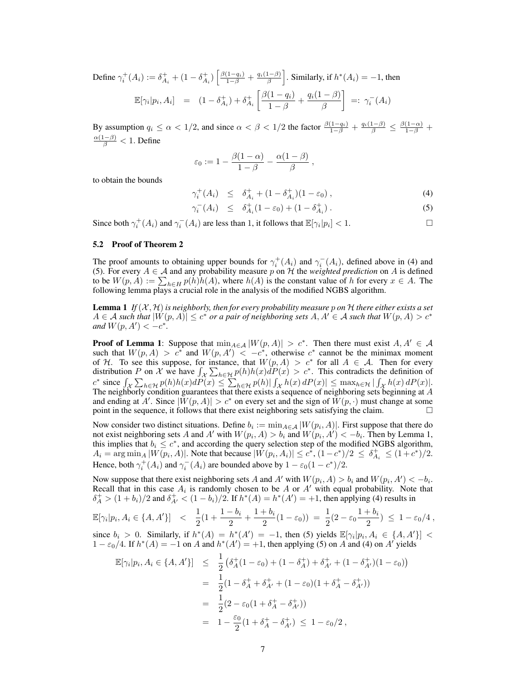Define  $\gamma_i^+(A_i) := \delta_{A_i}^+ + (1 - \delta_{A_i}^+) \left[ \frac{\beta(1-q_i)}{1-\beta} + \frac{q_i(1-\beta)}{\beta} \right]$ . Similarly, if  $h^*(A_i) = -1$ , then  $\mathbb{E}[\gamma_i|p_i, A_i] = (1 - \delta_{A_i}^+) + \delta_{A_i}^+$  $\lceil \beta(1 - q_i) \rceil$  $\frac{(1-q_i)}{1-\beta}+\frac{q_i(1-\beta)}{\beta}$ β  $\Big] \; =: \; \gamma_i^-(A_i)$ 

By assumption  $q_i \le \alpha < 1/2$ , and since  $\alpha < \beta < 1/2$  the factor  $\frac{\beta(1-q_i)}{1-\beta} + \frac{q_i(1-\beta)}{\beta} \le \frac{\beta(1-\alpha)}{1-\beta} + \frac{1}{2}$  $\frac{\alpha(1-\beta)}{\beta} < 1$ . Define

$$
\varepsilon_0 := 1 - \frac{\beta(1-\alpha)}{1-\beta} - \frac{\alpha(1-\beta)}{\beta} ,
$$

to obtain the bounds

$$
\gamma_i^+(A_i) \le \delta_{A_i}^+ + (1 - \delta_{A_i}^+)(1 - \varepsilon_0) \,, \tag{4}
$$

$$
\gamma_i^-(A_i) \le \delta_{A_i}^+(1 - \varepsilon_0) + (1 - \delta_{A_i}^+) \,. \tag{5}
$$

Since both  $\gamma_i^+(A_i)$  and  $\gamma_i^-(A_i)$  are less than 1, it follows that  $\mathbb{E}[\gamma_i|p_i] < 1$ .

### 5.2 Proof of Theorem 2

The proof amounts to obtaining upper bounds for  $\gamma_i^+(A_i)$  and  $\gamma_i^-(A_i)$ , defined above in (4) and (5). For every  $A \in \mathcal{A}$  and any probability measure p on  $\mathcal{H}$  the *weighted prediction* on A is defined to be  $W(p, A) := \sum_{h \in H} p(h)h(A)$ , where  $h(A)$  is the constant value of h for every  $x \in A$ . The following lemma plays a crucial role in the analysis of the modified NGBS algorithm.

**Lemma 1** If  $(X, \mathcal{H})$  is neighborly, then for every probability measure p on  $\mathcal{H}$  there either exists a set  $A \in \mathcal{A}$  such that  $|W(p, A)| \le c^*$  or a pair of neighboring sets  $A, A' \in \mathcal{A}$  such that  $W(p, A) > c^*$ *and*  $W(p, A') < -c^*$ *.* 

**Proof of Lemma 1:** Suppose that  $\min_{A \in \mathcal{A}} |W(p, A)| > c^*$ . Then there must exist  $A, A' \in \mathcal{A}$ such that  $W(p, A) > c^*$  and  $W(p, A') < -c^*$ , otherwise  $c^*$  cannot be the minimax moment of H. To see this suppose, for instance, that  $W(p, A) > c^*$  for all  $A \in \mathcal{A}$ . Then for every distribution P on X we have  $\int_{\mathcal{X}} \sum_{h \in \mathcal{H}} p(h)h(x) dP(x) > c^*$ . This contradicts the definition of  $c^*$  since  $\int_{\mathcal{X}} \sum_{h \in \mathcal{H}} p(h)h(x)dP(x) \leq \sum_{h \in \mathcal{H}} p(h)| \int_{\mathcal{X}} h(x) dP(x)| \leq \max_{h \in \mathcal{H}} |\int_{\mathcal{X}} h(x) dP(x)|$ . The neighborly condition guarantees that there exists a sequence of neighboring sets beginning at A and ending at A'. Since  $|W(p, A)| > c^*$  on every set and the sign of  $W(p, \cdot)$  must change at some point in the sequence, it follows that there exist neighboring sets satisfying the claim.  $\Box$ 

Now consider two distinct situations. Define  $b_i := \min_{A \in \mathcal{A}} |W(p_i, A)|$ . First suppose that there do not exist neighboring sets A and A' with  $W(p_i, A) > b_i$  and  $W(p_i, A') < -b_i$ . Then by Lemma 1, this implies that  $b_i \leq c^*$ , and according the query selection step of the modified NGBS algorithm,  $A_i = \arg \min_A |W(p_i, A)|$ . Note that because  $|W(p_i, A_i)| \leq c^*$ ,  $(1 - c^*)/2 \leq \delta_{A_i}^+ \leq (1 + c^*)/2$ . Hence, both  $\gamma_i^+(A_i)$  and  $\gamma_i^-(A_i)$  are bounded above by  $1 - \varepsilon_0(1 - c^*)/2$ .

Now suppose that there exist neighboring sets A and A' with  $W(p_i, A) > b_i$  and  $W(p_i, A') < -b_i$ . Recall that in this case  $A_i$  is randomly chosen to be A or A' with equal probability. Note that  $\delta_A^+ > (1 + b_i)/2$  and  $\delta_{A'}^+ < (1 - b_i)/2$ . If  $h^*(A) = h^*(A') = +1$ , then applying (4) results in

$$
\mathbb{E}[\gamma_i|p_i, A_i \in \{A, A'\}] \quad < \quad \frac{1}{2}(1 + \frac{1 - b_i}{2} + \frac{1 + b_i}{2}(1 - \varepsilon_0)) \; = \; \frac{1}{2}(2 - \varepsilon_0 \frac{1 + b_i}{2}) \; \leq \; 1 - \varepsilon_0/4 \;,
$$

since  $b_i > 0$ . Similarly, if  $h^*(A) = h^*(A') = -1$ , then (5) yields  $\mathbb{E}[\gamma_i | p_i, A_i \in \{A, A'\}]$  <  $1 - \varepsilon_0/4$ . If  $h^*(A) = -1$  on A and  $h^*(A') = +1$ , then applying (5) on A and (4) on A' yields

$$
\mathbb{E}[\gamma_i|p_i, A_i \in \{A, A'\}] \leq \frac{1}{2} (\delta_A^+(1 - \varepsilon_0) + (1 - \delta_A^+) + \delta_{A'}^+ + (1 - \delta_{A'}^+)(1 - \varepsilon_0))
$$
  
\n
$$
= \frac{1}{2} (1 - \delta_A^+ + \delta_{A'}^+ + (1 - \varepsilon_0)(1 + \delta_A^+ - \delta_{A'}^+))
$$
  
\n
$$
= \frac{1}{2} (2 - \varepsilon_0 (1 + \delta_A^+ - \delta_{A'}^+))
$$
  
\n
$$
= 1 - \frac{\varepsilon_0}{2} (1 + \delta_A^+ - \delta_{A'}^+) \leq 1 - \varepsilon_0/2,
$$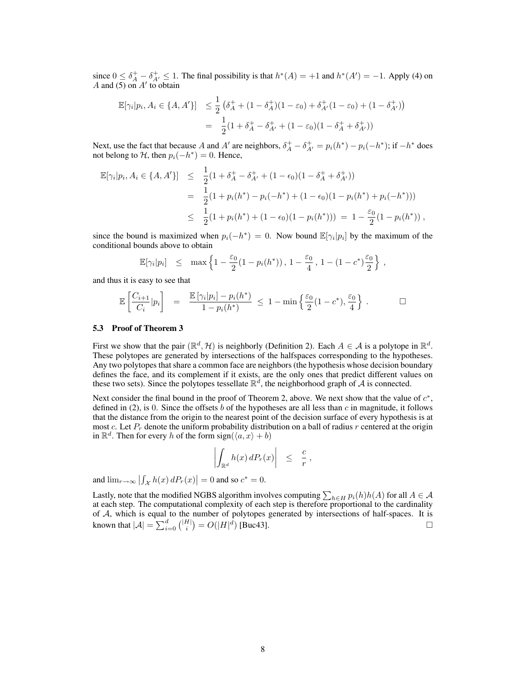since  $0 \leq \delta_A^+ - \delta_{A'}^+ \leq 1$ . The final possibility is that  $h^*(A) = +1$  and  $h^*(A') = -1$ . Apply (4) on A and (5) on  $A'$  to obtain

$$
\mathbb{E}[\gamma_i|p_i, A_i \in \{A, A'\}] \leq \frac{1}{2} \left( \delta_A^+ + (1 - \delta_A^+) (1 - \varepsilon_0) + \delta_{A'}^+ (1 - \varepsilon_0) + (1 - \delta_{A'}^+) \right)
$$
  
= 
$$
\frac{1}{2} (1 + \delta_A^+ - \delta_{A'}^+ + (1 - \varepsilon_0) (1 - \delta_A^+ + \delta_{A'}^+))
$$

Next, use the fact that because A and A' are neighbors,  $\delta_A^+ - \delta_{A'}^+ = p_i(h^*) - p_i(-h^*)$ ; if  $-h^*$  does not belong to  $\mathcal{H}$ , then  $p_i(-h^*) = 0$ . Hence,

$$
\mathbb{E}[\gamma_i|p_i, A_i \in \{A, A'\}] \leq \frac{1}{2}(1 + \delta_A^+ - \delta_{A'}^+ + (1 - \epsilon_0)(1 - \delta_A^+ + \delta_{A'}^+))
$$
  
= 
$$
\frac{1}{2}(1 + p_i(h^*) - p_i(-h^*) + (1 - \epsilon_0)(1 - p_i(h^*) + p_i(-h^*)))
$$
  

$$
\leq \frac{1}{2}(1 + p_i(h^*) + (1 - \epsilon_0)(1 - p_i(h^*))) = 1 - \frac{\epsilon_0}{2}(1 - p_i(h^*))
$$
,

since the bound is maximized when  $p_i(-h^*) = 0$ . Now bound  $\mathbb{E}[\gamma_i|p_i]$  by the maximum of the conditional bounds above to obtain

$$
\mathbb{E}[\gamma_i|p_i] \leq \max\left\{1 - \frac{\varepsilon_0}{2}(1 - p_i(h^*)), 1 - \frac{\varepsilon_0}{4}, 1 - (1 - c^*)\frac{\varepsilon_0}{2}\right\},\,
$$

and thus it is easy to see that

$$
\mathbb{E}\left[\frac{C_{i+1}}{C_i}|p_i\right] = \frac{\mathbb{E}\left[\gamma_i|p_i\right] - p_i(h^*)}{1 - p_i(h^*)} \le 1 - \min\left\{\frac{\varepsilon_0}{2}(1 - c^*), \frac{\varepsilon_0}{4}\right\}.
$$

#### 5.3 Proof of Theorem 3

First we show that the pair  $(\mathbb{R}^d, \mathcal{H})$  is neighborly (Definition 2). Each  $A \in \mathcal{A}$  is a polytope in  $\mathbb{R}^d$ . These polytopes are generated by intersections of the halfspaces corresponding to the hypotheses. Any two polytopes that share a common face are neighbors (the hypothesis whose decision boundary defines the face, and its complement if it exists, are the only ones that predict different values on these two sets). Since the polytopes tessellate  $\mathbb{R}^d$ , the neighborhood graph of A is connected.

Next consider the final bound in the proof of Theorem 2, above. We next show that the value of  $c^*$ , defined in (2), is 0. Since the offsets b of the hypotheses are all less than c in magnitude, it follows that the distance from the origin to the nearest point of the decision surface of every hypothesis is at most c. Let  $P_r$  denote the uniform probability distribution on a ball of radius r centered at the origin in  $\mathbb{R}^d$ . Then for every h of the form sign( $\langle a, x \rangle + b$ )

$$
\left| \int_{\mathbb{R}^d} h(x) \, dP_r(x) \right| \leq \frac{c}{r},
$$

and  $\lim_{r \to \infty} | \int_{\mathcal{X}} h(x) dP_r(x) | = 0$  and so  $c^* = 0$ .

Lastly, note that the modified NGBS algorithm involves computing  $\sum_{h\in H} p_i(h)h(A)$  for all  $A\in\mathcal{A}$ at each step. The computational complexity of each step is therefore proportional to the cardinality of  $A$ , which is equal to the number of polytopes generated by intersections of half-spaces. It is known that  $|\mathcal{A}| = \sum_{i=0}^d { |H| \choose i} = O(|H|^d)$  [Buc43].